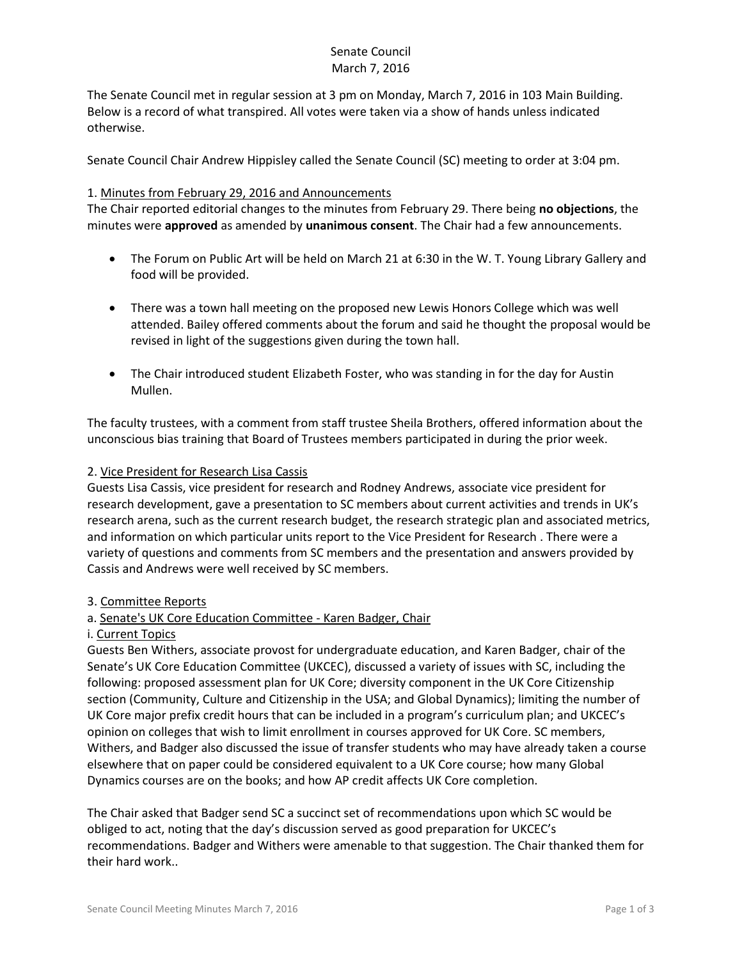# Senate Council March 7, 2016

The Senate Council met in regular session at 3 pm on Monday, March 7, 2016 in 103 Main Building. Below is a record of what transpired. All votes were taken via a show of hands unless indicated otherwise.

Senate Council Chair Andrew Hippisley called the Senate Council (SC) meeting to order at 3:04 pm.

#### 1. Minutes from February 29, 2016 and Announcements

The Chair reported editorial changes to the minutes from February 29. There being **no objections**, the minutes were **approved** as amended by **unanimous consent**. The Chair had a few announcements.

- The Forum on Public Art will be held on March 21 at 6:30 in the W. T. Young Library Gallery and food will be provided.
- There was a town hall meeting on the proposed new Lewis Honors College which was well attended. Bailey offered comments about the forum and said he thought the proposal would be revised in light of the suggestions given during the town hall.
- The Chair introduced student Elizabeth Foster, who was standing in for the day for Austin Mullen.

The faculty trustees, with a comment from staff trustee Sheila Brothers, offered information about the unconscious bias training that Board of Trustees members participated in during the prior week.

#### 2. Vice President for Research Lisa Cassis

Guests Lisa Cassis, vice president for research and Rodney Andrews, associate vice president for research development, gave a presentation to SC members about current activities and trends in UK's research arena, such as the current research budget, the research strategic plan and associated metrics, and information on which particular units report to the Vice President for Research . There were a variety of questions and comments from SC members and the presentation and answers provided by Cassis and Andrews were well received by SC members.

## 3. Committee Reports

## a. Senate's UK Core Education Committee - Karen Badger, Chair

#### i. Current Topics

Guests Ben Withers, associate provost for undergraduate education, and Karen Badger, chair of the Senate's UK Core Education Committee (UKCEC), discussed a variety of issues with SC, including the following: proposed assessment plan for UK Core; diversity component in the UK Core Citizenship section (Community, Culture and Citizenship in the USA; and Global Dynamics); limiting the number of UK Core major prefix credit hours that can be included in a program's curriculum plan; and UKCEC's opinion on colleges that wish to limit enrollment in courses approved for UK Core. SC members, Withers, and Badger also discussed the issue of transfer students who may have already taken a course elsewhere that on paper could be considered equivalent to a UK Core course; how many Global Dynamics courses are on the books; and how AP credit affects UK Core completion.

The Chair asked that Badger send SC a succinct set of recommendations upon which SC would be obliged to act, noting that the day's discussion served as good preparation for UKCEC's recommendations. Badger and Withers were amenable to that suggestion. The Chair thanked them for their hard work..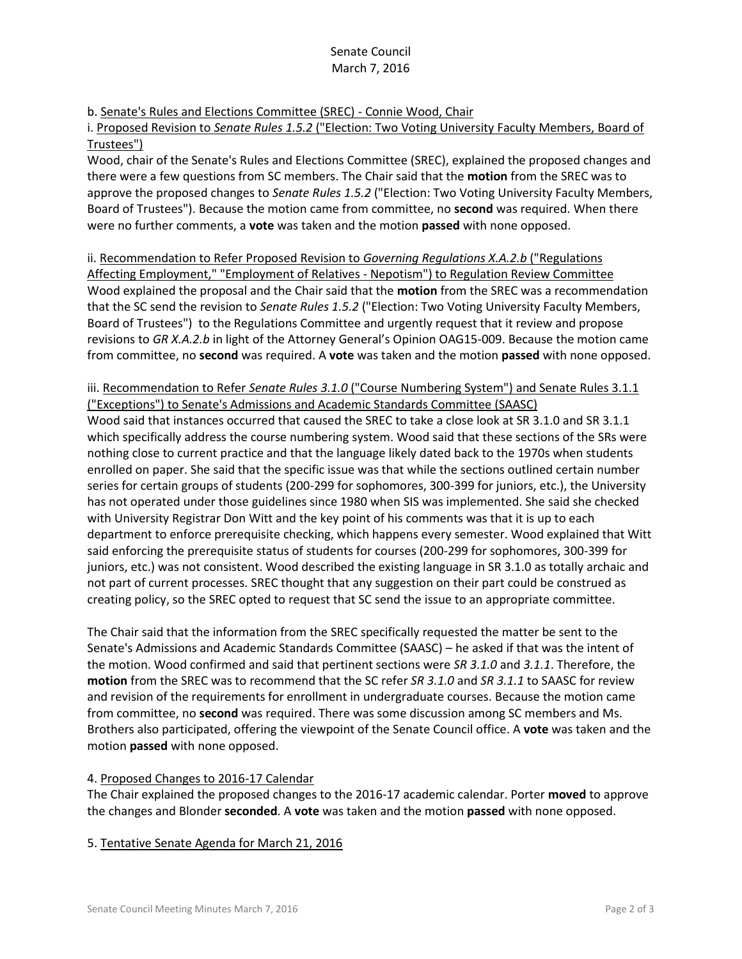# Senate Council March 7, 2016

b. Senate's Rules and Elections Committee (SREC) - Connie Wood, Chair

i. Proposed Revision to *Senate Rules 1.5.2* ("Election: Two Voting University Faculty Members, Board of Trustees")

Wood, chair of the Senate's Rules and Elections Committee (SREC), explained the proposed changes and there were a few questions from SC members. The Chair said that the **motion** from the SREC was to approve the proposed changes to *Senate Rules 1.5.2* ("Election: Two Voting University Faculty Members, Board of Trustees"). Because the motion came from committee, no **second** was required. When there were no further comments, a **vote** was taken and the motion **passed** with none opposed.

ii. Recommendation to Refer Proposed Revision to *Governing Regulations X.A.2.b* ("Regulations Affecting Employment," "Employment of Relatives - Nepotism") to Regulation Review Committee Wood explained the proposal and the Chair said that the **motion** from the SREC was a recommendation that the SC send the revision to *Senate Rules 1.5.2* ("Election: Two Voting University Faculty Members, Board of Trustees") to the Regulations Committee and urgently request that it review and propose revisions to *GR X.A.2.b* in light of the Attorney General's Opinion OAG15-009. Because the motion came from committee, no **second** was required. A **vote** was taken and the motion **passed** with none opposed.

## iii. Recommendation to Refer *Senate Rules 3.1.0* ("Course Numbering System") and Senate Rules 3.1.1 ("Exceptions") to Senate's Admissions and Academic Standards Committee (SAASC)

Wood said that instances occurred that caused the SREC to take a close look at SR 3.1.0 and SR 3.1.1 which specifically address the course numbering system. Wood said that these sections of the SRs were nothing close to current practice and that the language likely dated back to the 1970s when students enrolled on paper. She said that the specific issue was that while the sections outlined certain number series for certain groups of students (200-299 for sophomores, 300-399 for juniors, etc.), the University has not operated under those guidelines since 1980 when SIS was implemented. She said she checked with University Registrar Don Witt and the key point of his comments was that it is up to each department to enforce prerequisite checking, which happens every semester. Wood explained that Witt said enforcing the prerequisite status of students for courses (200-299 for sophomores, 300-399 for juniors, etc.) was not consistent. Wood described the existing language in SR 3.1.0 as totally archaic and not part of current processes. SREC thought that any suggestion on their part could be construed as creating policy, so the SREC opted to request that SC send the issue to an appropriate committee.

The Chair said that the information from the SREC specifically requested the matter be sent to the Senate's Admissions and Academic Standards Committee (SAASC) – he asked if that was the intent of the motion. Wood confirmed and said that pertinent sections were *SR 3.1.0* and *3.1.1*. Therefore, the **motion** from the SREC was to recommend that the SC refer *SR 3.1.0* and *SR 3.1.1* to SAASC for review and revision of the requirements for enrollment in undergraduate courses. Because the motion came from committee, no **second** was required. There was some discussion among SC members and Ms. Brothers also participated, offering the viewpoint of the Senate Council office. A **vote** was taken and the motion **passed** with none opposed.

# 4. Proposed Changes to 2016-17 Calendar

The Chair explained the proposed changes to the 2016-17 academic calendar. Porter **moved** to approve the changes and Blonder **seconded**. A **vote** was taken and the motion **passed** with none opposed.

## 5. Tentative Senate Agenda for March 21, 2016